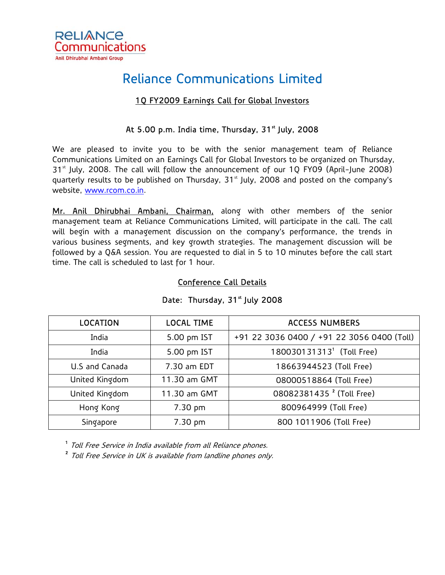

# Reliance Communications Limited

## 1Q FY2009 Earnings Call for Global Investors

### At 5.00 p.m. India time, Thursday,  $31<sup>st</sup>$  July, 2008

We are pleased to invite you to be with the senior management team of Reliance Communications Limited on an Earnings Call for Global Investors to be organized on Thursday,  $31<sup>st</sup>$  July, 2008. The call will follow the announcement of our 10 FY09 (April-June 2008) quarterly results to be published on Thursday, 31<sup>st</sup> July, 2008 and posted on the company's website, [www.rcom.co.in.](http://www.rcom.co.in/)

Mr. Anil Dhirubhai Ambani, Chairman, along with other members of the senior management team at Reliance Communications Limited, will participate in the call. The call will begin with a management discussion on the company's performance, the trends in various business segments, and key growth strategies. The management discussion will be followed by a Q&A session. You are requested to dial in 5 to 10 minutes before the call start time. The call is scheduled to last for 1 hour.

### Conference Call Details

| <b>LOCATION</b> | <b>LOCAL TIME</b> | <b>ACCESS NUMBERS</b>                      |
|-----------------|-------------------|--------------------------------------------|
| India           | 5.00 pm IST       | +91 22 3036 0400 / +91 22 3056 0400 (Toll) |
| India           | 5.00 pm IST       | 180030131313 <sup>1</sup> (Toll Free)      |
| U.S and Canada  | 7.30 am EDT       | 18663944523 (Toll Free)                    |
| United Kingdom  | 11.30 am GMT      | 08000518864 (Toll Free)                    |
| United Kingdom  | 11.30 am GMT      | 08082381435 <sup>2</sup> (Toll Free)       |
| Hong Kong       | 7.30 pm           | 800964999 (Toll Free)                      |
| Singapore       | 7.30 pm           | 800 1011906 (Toll Free)                    |

#### Date: Thursday, 31<sup>st</sup> July 2008

<sup>1</sup> Toll Free Service in India available from all Reliance phones.

<sup>2</sup> Toll Free Service in UK is available from landline phones only.